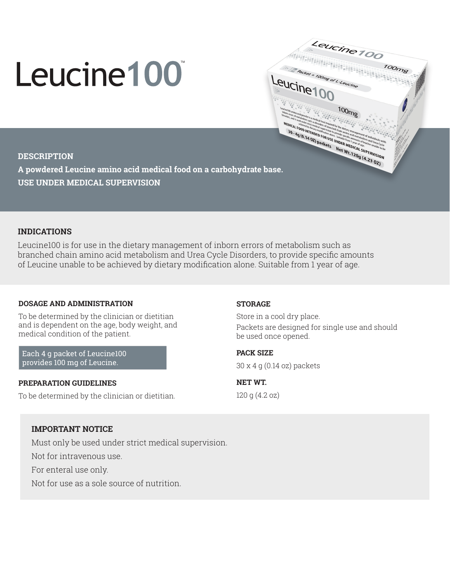# Leucine100

 $100<sub>mg</sub>$ **MEDICAL EXPRESS OF THE REAL PROPERTY AND ACCESS OF THE REAL PROPERTY AND CONSUMER CONSUMER AND CONSUMER CONSUMER AND CONSUMER AND ACCEPT AND ACCEPT AND ACCEPT AND ACCEPT AND ACCEPT AND ACCEPT AND ACCEPT AND ACCEPT AND ACC** MEDICAL FOOT IS A REDUCED FOR THE REDUCED FOR THE REDUCED FOR THE REDUCED FOR THE REDUCED FOR THE REDUCED FOR THE REDUCED FOR THE REDUCED FOR THE REDUCED FOR THE REDUCED FOR THE REDUCED FOR THE REDUCED FOR THE REDUCED FOR

Leucine 100

Figures 100 Metal 100 mg<br>A Packet = 100mg<br>ICI h

bcker = 100mg or L-Leucine

Leucine 100

# **DESCRIPTION**

**A powdered Leucine amino acid medical food on a carbohydrate base. USE UNDER MEDICAL SUPERVISION**

# **INDICATIONS**

Leucine100 is for use in the dietary management of inborn errors of metabolism such as branched chain amino acid metabolism and Urea Cycle Disorders, to provide specific amounts of Leucine unable to be achieved by dietary modification alone. Suitable from 1 year of age.

# **DOSAGE AND ADMINISTRATION**

To be determined by the clinician or dietitian and is dependent on the age, body weight, and medical condition of the patient.

Each 4 g packet of Leucine100 provides 100 mg of Leucine.

### **PREPARATION GUIDELINES**

To be determined by the clinician or dietitian.

### **STORAGE**

Store in a cool dry place. Packets are designed for single use and should be used once opened.

**PACK SIZE** 

30 x 4 g (0.14 oz) packets

**NET WT.**  120 g (4.2 oz)

# **IMPORTANT NOTICE**

Must only be used under strict medical supervision.

Not for intravenous use.

For enteral use only.

Not for use as a sole source of nutrition.